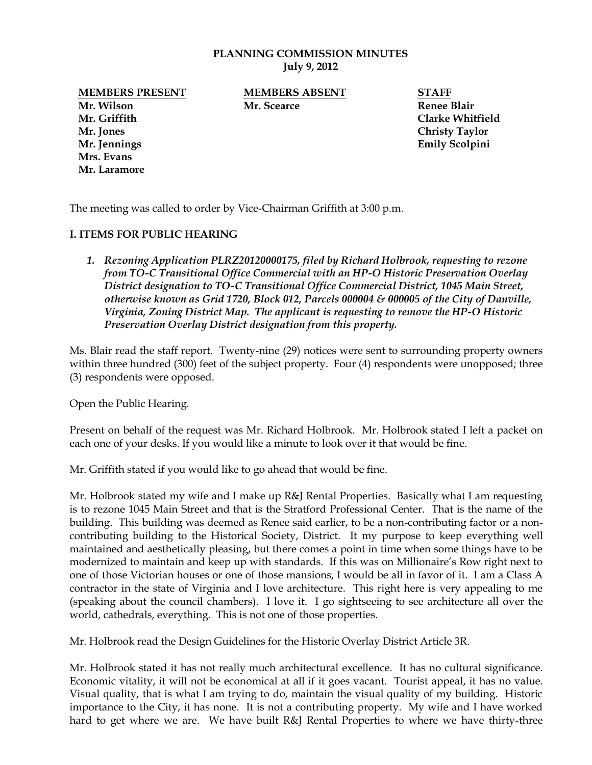#### **PLANNING COMMISSION MINUTES July 9, 2012**

**Mr. Wilson Mr. Scearce Renee Blair Mr. Griffith Clarke Whitfield Mr. Jones Christy Taylor Mr. Jennings Emily Scolpini Mrs. Evans Mr. Laramore**

**MEMBERS PRESENT MEMBERS ABSENT STAFF**

The meeting was called to order by Vice-Chairman Griffith at 3:00 p.m.

### **I. ITEMS FOR PUBLIC HEARING**

*1. Rezoning Application PLRZ20120000175, filed by Richard Holbrook, requesting to rezone from TO-C Transitional Office Commercial with an HP-O Historic Preservation Overlay District designation to TO-C Transitional Office Commercial District, 1045 Main Street, otherwise known as Grid 1720, Block 012, Parcels 000004 & 000005 of the City of Danville, Virginia, Zoning District Map. The applicant is requesting to remove the HP-O Historic Preservation Overlay District designation from this property.* 

Ms. Blair read the staff report. Twenty-nine (29) notices were sent to surrounding property owners within three hundred (300) feet of the subject property. Four (4) respondents were unopposed; three (3) respondents were opposed.

Open the Public Hearing.

Present on behalf of the request was Mr. Richard Holbrook. Mr. Holbrook stated I left a packet on each one of your desks. If you would like a minute to look over it that would be fine.

Mr. Griffith stated if you would like to go ahead that would be fine.

Mr. Holbrook stated my wife and I make up R&J Rental Properties. Basically what I am requesting is to rezone 1045 Main Street and that is the Stratford Professional Center. That is the name of the building. This building was deemed as Renee said earlier, to be a non-contributing factor or a noncontributing building to the Historical Society, District. It my purpose to keep everything well maintained and aesthetically pleasing, but there comes a point in time when some things have to be modernized to maintain and keep up with standards. If this was on Millionaire's Row right next to one of those Victorian houses or one of those mansions, I would be all in favor of it. I am a Class A contractor in the state of Virginia and I love architecture. This right here is very appealing to me (speaking about the council chambers). I love it. I go sightseeing to see architecture all over the world, cathedrals, everything. This is not one of those properties.

Mr. Holbrook read the Design Guidelines for the Historic Overlay District Article 3R.

Mr. Holbrook stated it has not really much architectural excellence. It has no cultural significance. Economic vitality, it will not be economical at all if it goes vacant. Tourist appeal, it has no value. Visual quality, that is what I am trying to do, maintain the visual quality of my building. Historic importance to the City, it has none. It is not a contributing property. My wife and I have worked hard to get where we are. We have built R&J Rental Properties to where we have thirty-three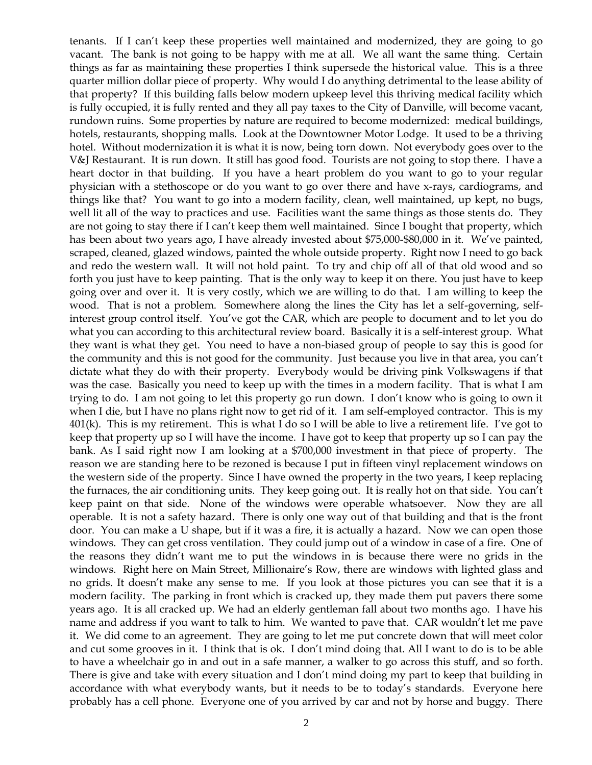tenants. If I can't keep these properties well maintained and modernized, they are going to go vacant. The bank is not going to be happy with me at all. We all want the same thing. Certain things as far as maintaining these properties I think supersede the historical value. This is a three quarter million dollar piece of property. Why would I do anything detrimental to the lease ability of that property? If this building falls below modern upkeep level this thriving medical facility which is fully occupied, it is fully rented and they all pay taxes to the City of Danville, will become vacant, rundown ruins. Some properties by nature are required to become modernized: medical buildings, hotels, restaurants, shopping malls. Look at the Downtowner Motor Lodge. It used to be a thriving hotel. Without modernization it is what it is now, being torn down. Not everybody goes over to the V&J Restaurant. It is run down. It still has good food. Tourists are not going to stop there. I have a heart doctor in that building. If you have a heart problem do you want to go to your regular physician with a stethoscope or do you want to go over there and have x-rays, cardiograms, and things like that? You want to go into a modern facility, clean, well maintained, up kept, no bugs, well lit all of the way to practices and use. Facilities want the same things as those stents do. They are not going to stay there if I can't keep them well maintained. Since I bought that property, which has been about two years ago, I have already invested about \$75,000-\$80,000 in it. We've painted, scraped, cleaned, glazed windows, painted the whole outside property. Right now I need to go back and redo the western wall. It will not hold paint. To try and chip off all of that old wood and so forth you just have to keep painting. That is the only way to keep it on there. You just have to keep going over and over it. It is very costly, which we are willing to do that. I am willing to keep the wood. That is not a problem. Somewhere along the lines the City has let a self-governing, selfinterest group control itself. You've got the CAR, which are people to document and to let you do what you can according to this architectural review board. Basically it is a self-interest group. What they want is what they get. You need to have a non-biased group of people to say this is good for the community and this is not good for the community. Just because you live in that area, you can't dictate what they do with their property. Everybody would be driving pink Volkswagens if that was the case. Basically you need to keep up with the times in a modern facility. That is what I am trying to do. I am not going to let this property go run down. I don't know who is going to own it when I die, but I have no plans right now to get rid of it. I am self-employed contractor. This is my 401(k). This is my retirement. This is what I do so I will be able to live a retirement life. I've got to keep that property up so I will have the income. I have got to keep that property up so I can pay the bank. As I said right now I am looking at a \$700,000 investment in that piece of property. The reason we are standing here to be rezoned is because I put in fifteen vinyl replacement windows on the western side of the property. Since I have owned the property in the two years, I keep replacing the furnaces, the air conditioning units. They keep going out. It is really hot on that side. You can't keep paint on that side. None of the windows were operable whatsoever. Now they are all operable. It is not a safety hazard. There is only one way out of that building and that is the front door. You can make a U shape, but if it was a fire, it is actually a hazard. Now we can open those windows. They can get cross ventilation. They could jump out of a window in case of a fire. One of the reasons they didn't want me to put the windows in is because there were no grids in the windows. Right here on Main Street, Millionaire's Row, there are windows with lighted glass and no grids. It doesn't make any sense to me. If you look at those pictures you can see that it is a modern facility. The parking in front which is cracked up, they made them put pavers there some years ago. It is all cracked up. We had an elderly gentleman fall about two months ago. I have his name and address if you want to talk to him. We wanted to pave that. CAR wouldn't let me pave it. We did come to an agreement. They are going to let me put concrete down that will meet color and cut some grooves in it. I think that is ok. I don't mind doing that. All I want to do is to be able to have a wheelchair go in and out in a safe manner, a walker to go across this stuff, and so forth. There is give and take with every situation and I don't mind doing my part to keep that building in accordance with what everybody wants, but it needs to be to today's standards. Everyone here probably has a cell phone. Everyone one of you arrived by car and not by horse and buggy. There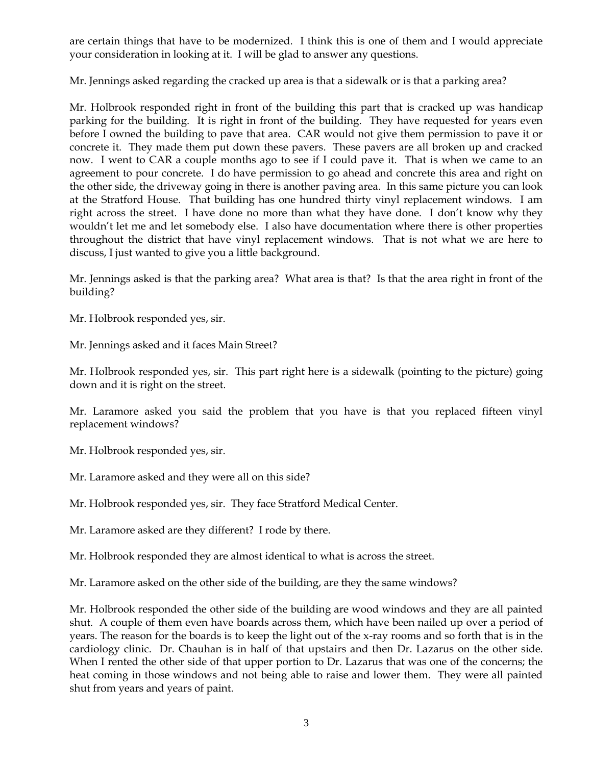are certain things that have to be modernized. I think this is one of them and I would appreciate your consideration in looking at it. I will be glad to answer any questions.

Mr. Jennings asked regarding the cracked up area is that a sidewalk or is that a parking area?

Mr. Holbrook responded right in front of the building this part that is cracked up was handicap parking for the building. It is right in front of the building. They have requested for years even before I owned the building to pave that area. CAR would not give them permission to pave it or concrete it. They made them put down these pavers. These pavers are all broken up and cracked now. I went to CAR a couple months ago to see if I could pave it. That is when we came to an agreement to pour concrete. I do have permission to go ahead and concrete this area and right on the other side, the driveway going in there is another paving area. In this same picture you can look at the Stratford House. That building has one hundred thirty vinyl replacement windows. I am right across the street. I have done no more than what they have done. I don't know why they wouldn't let me and let somebody else. I also have documentation where there is other properties throughout the district that have vinyl replacement windows. That is not what we are here to discuss, I just wanted to give you a little background.

Mr. Jennings asked is that the parking area? What area is that? Is that the area right in front of the building?

Mr. Holbrook responded yes, sir.

Mr. Jennings asked and it faces Main Street?

Mr. Holbrook responded yes, sir. This part right here is a sidewalk (pointing to the picture) going down and it is right on the street.

Mr. Laramore asked you said the problem that you have is that you replaced fifteen vinyl replacement windows?

Mr. Holbrook responded yes, sir.

Mr. Laramore asked and they were all on this side?

Mr. Holbrook responded yes, sir. They face Stratford Medical Center.

Mr. Laramore asked are they different? I rode by there.

Mr. Holbrook responded they are almost identical to what is across the street.

Mr. Laramore asked on the other side of the building, are they the same windows?

Mr. Holbrook responded the other side of the building are wood windows and they are all painted shut. A couple of them even have boards across them, which have been nailed up over a period of years. The reason for the boards is to keep the light out of the x-ray rooms and so forth that is in the cardiology clinic. Dr. Chauhan is in half of that upstairs and then Dr. Lazarus on the other side. When I rented the other side of that upper portion to Dr. Lazarus that was one of the concerns; the heat coming in those windows and not being able to raise and lower them. They were all painted shut from years and years of paint.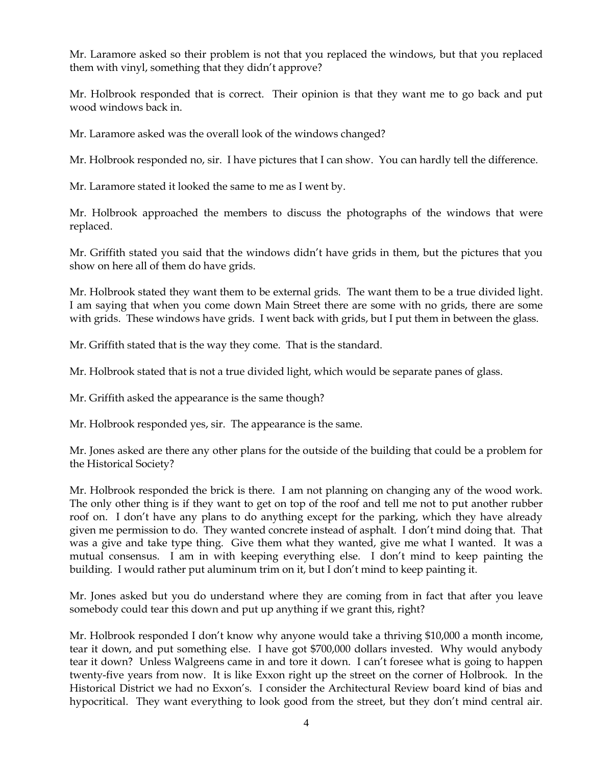Mr. Laramore asked so their problem is not that you replaced the windows, but that you replaced them with vinyl, something that they didn't approve?

Mr. Holbrook responded that is correct. Their opinion is that they want me to go back and put wood windows back in.

Mr. Laramore asked was the overall look of the windows changed?

Mr. Holbrook responded no, sir. I have pictures that I can show. You can hardly tell the difference.

Mr. Laramore stated it looked the same to me as I went by.

Mr. Holbrook approached the members to discuss the photographs of the windows that were replaced.

Mr. Griffith stated you said that the windows didn't have grids in them, but the pictures that you show on here all of them do have grids.

Mr. Holbrook stated they want them to be external grids. The want them to be a true divided light. I am saying that when you come down Main Street there are some with no grids, there are some with grids. These windows have grids. I went back with grids, but I put them in between the glass.

Mr. Griffith stated that is the way they come. That is the standard.

Mr. Holbrook stated that is not a true divided light, which would be separate panes of glass.

Mr. Griffith asked the appearance is the same though?

Mr. Holbrook responded yes, sir. The appearance is the same.

Mr. Jones asked are there any other plans for the outside of the building that could be a problem for the Historical Society?

Mr. Holbrook responded the brick is there. I am not planning on changing any of the wood work. The only other thing is if they want to get on top of the roof and tell me not to put another rubber roof on. I don't have any plans to do anything except for the parking, which they have already given me permission to do. They wanted concrete instead of asphalt. I don't mind doing that. That was a give and take type thing. Give them what they wanted, give me what I wanted. It was a mutual consensus. I am in with keeping everything else. I don't mind to keep painting the building. I would rather put aluminum trim on it, but I don't mind to keep painting it.

Mr. Jones asked but you do understand where they are coming from in fact that after you leave somebody could tear this down and put up anything if we grant this, right?

Mr. Holbrook responded I don't know why anyone would take a thriving \$10,000 a month income, tear it down, and put something else. I have got \$700,000 dollars invested. Why would anybody tear it down? Unless Walgreens came in and tore it down. I can't foresee what is going to happen twenty-five years from now. It is like Exxon right up the street on the corner of Holbrook. In the Historical District we had no Exxon's. I consider the Architectural Review board kind of bias and hypocritical. They want everything to look good from the street, but they don't mind central air.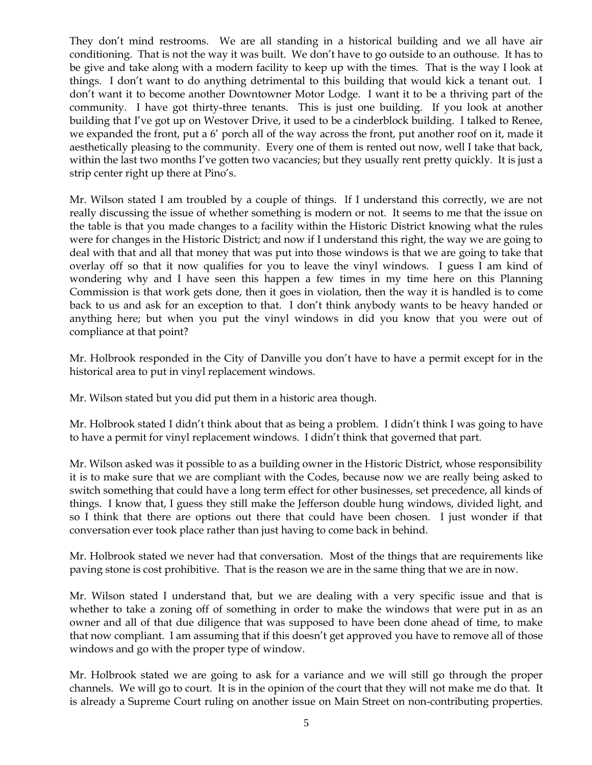They don't mind restrooms. We are all standing in a historical building and we all have air conditioning. That is not the way it was built. We don't have to go outside to an outhouse. It has to be give and take along with a modern facility to keep up with the times. That is the way I look at things. I don't want to do anything detrimental to this building that would kick a tenant out. I don't want it to become another Downtowner Motor Lodge. I want it to be a thriving part of the community. I have got thirty-three tenants. This is just one building. If you look at another building that I've got up on Westover Drive, it used to be a cinderblock building. I talked to Renee, we expanded the front, put a 6' porch all of the way across the front, put another roof on it, made it aesthetically pleasing to the community. Every one of them is rented out now, well I take that back, within the last two months I've gotten two vacancies; but they usually rent pretty quickly. It is just a strip center right up there at Pino's.

Mr. Wilson stated I am troubled by a couple of things. If I understand this correctly, we are not really discussing the issue of whether something is modern or not. It seems to me that the issue on the table is that you made changes to a facility within the Historic District knowing what the rules were for changes in the Historic District; and now if I understand this right, the way we are going to deal with that and all that money that was put into those windows is that we are going to take that overlay off so that it now qualifies for you to leave the vinyl windows. I guess I am kind of wondering why and I have seen this happen a few times in my time here on this Planning Commission is that work gets done, then it goes in violation, then the way it is handled is to come back to us and ask for an exception to that. I don't think anybody wants to be heavy handed or anything here; but when you put the vinyl windows in did you know that you were out of compliance at that point?

Mr. Holbrook responded in the City of Danville you don't have to have a permit except for in the historical area to put in vinyl replacement windows.

Mr. Wilson stated but you did put them in a historic area though.

Mr. Holbrook stated I didn't think about that as being a problem. I didn't think I was going to have to have a permit for vinyl replacement windows. I didn't think that governed that part.

Mr. Wilson asked was it possible to as a building owner in the Historic District, whose responsibility it is to make sure that we are compliant with the Codes, because now we are really being asked to switch something that could have a long term effect for other businesses, set precedence, all kinds of things. I know that, I guess they still make the Jefferson double hung windows, divided light, and so I think that there are options out there that could have been chosen. I just wonder if that conversation ever took place rather than just having to come back in behind.

Mr. Holbrook stated we never had that conversation. Most of the things that are requirements like paving stone is cost prohibitive. That is the reason we are in the same thing that we are in now.

Mr. Wilson stated I understand that, but we are dealing with a very specific issue and that is whether to take a zoning off of something in order to make the windows that were put in as an owner and all of that due diligence that was supposed to have been done ahead of time, to make that now compliant. I am assuming that if this doesn't get approved you have to remove all of those windows and go with the proper type of window.

Mr. Holbrook stated we are going to ask for a variance and we will still go through the proper channels. We will go to court. It is in the opinion of the court that they will not make me do that. It is already a Supreme Court ruling on another issue on Main Street on non-contributing properties.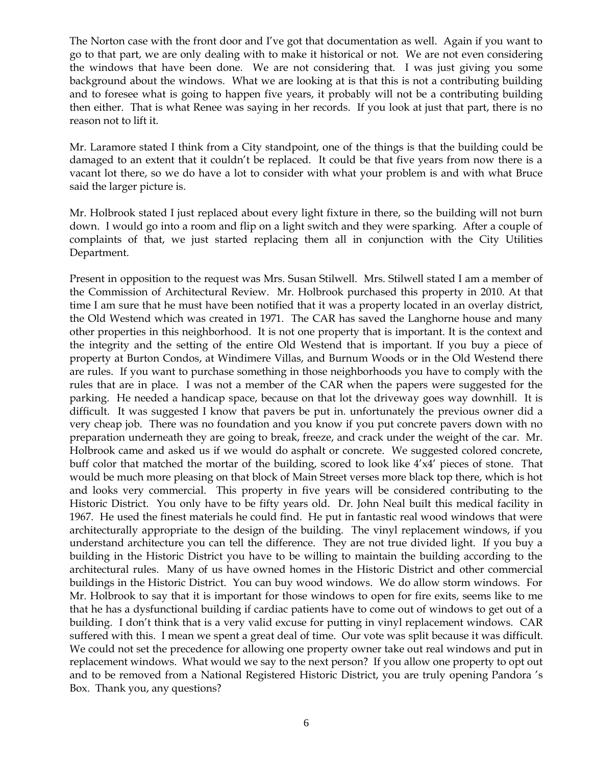The Norton case with the front door and I've got that documentation as well. Again if you want to go to that part, we are only dealing with to make it historical or not. We are not even considering the windows that have been done. We are not considering that. I was just giving you some background about the windows. What we are looking at is that this is not a contributing building and to foresee what is going to happen five years, it probably will not be a contributing building then either. That is what Renee was saying in her records. If you look at just that part, there is no reason not to lift it.

Mr. Laramore stated I think from a City standpoint, one of the things is that the building could be damaged to an extent that it couldn't be replaced. It could be that five years from now there is a vacant lot there, so we do have a lot to consider with what your problem is and with what Bruce said the larger picture is.

Mr. Holbrook stated I just replaced about every light fixture in there, so the building will not burn down. I would go into a room and flip on a light switch and they were sparking. After a couple of complaints of that, we just started replacing them all in conjunction with the City Utilities Department.

Present in opposition to the request was Mrs. Susan Stilwell. Mrs. Stilwell stated I am a member of the Commission of Architectural Review. Mr. Holbrook purchased this property in 2010. At that time I am sure that he must have been notified that it was a property located in an overlay district, the Old Westend which was created in 1971. The CAR has saved the Langhorne house and many other properties in this neighborhood. It is not one property that is important. It is the context and the integrity and the setting of the entire Old Westend that is important. If you buy a piece of property at Burton Condos, at Windimere Villas, and Burnum Woods or in the Old Westend there are rules. If you want to purchase something in those neighborhoods you have to comply with the rules that are in place. I was not a member of the CAR when the papers were suggested for the parking. He needed a handicap space, because on that lot the driveway goes way downhill. It is difficult. It was suggested I know that pavers be put in. unfortunately the previous owner did a very cheap job. There was no foundation and you know if you put concrete pavers down with no preparation underneath they are going to break, freeze, and crack under the weight of the car. Mr. Holbrook came and asked us if we would do asphalt or concrete. We suggested colored concrete, buff color that matched the mortar of the building, scored to look like 4'x4' pieces of stone. That would be much more pleasing on that block of Main Street verses more black top there, which is hot and looks very commercial. This property in five years will be considered contributing to the Historic District. You only have to be fifty years old. Dr. John Neal built this medical facility in 1967. He used the finest materials he could find. He put in fantastic real wood windows that were architecturally appropriate to the design of the building. The vinyl replacement windows, if you understand architecture you can tell the difference. They are not true divided light. If you buy a building in the Historic District you have to be willing to maintain the building according to the architectural rules. Many of us have owned homes in the Historic District and other commercial buildings in the Historic District. You can buy wood windows. We do allow storm windows. For Mr. Holbrook to say that it is important for those windows to open for fire exits, seems like to me that he has a dysfunctional building if cardiac patients have to come out of windows to get out of a building. I don't think that is a very valid excuse for putting in vinyl replacement windows. CAR suffered with this. I mean we spent a great deal of time. Our vote was split because it was difficult. We could not set the precedence for allowing one property owner take out real windows and put in replacement windows. What would we say to the next person? If you allow one property to opt out and to be removed from a National Registered Historic District, you are truly opening Pandora 's Box. Thank you, any questions?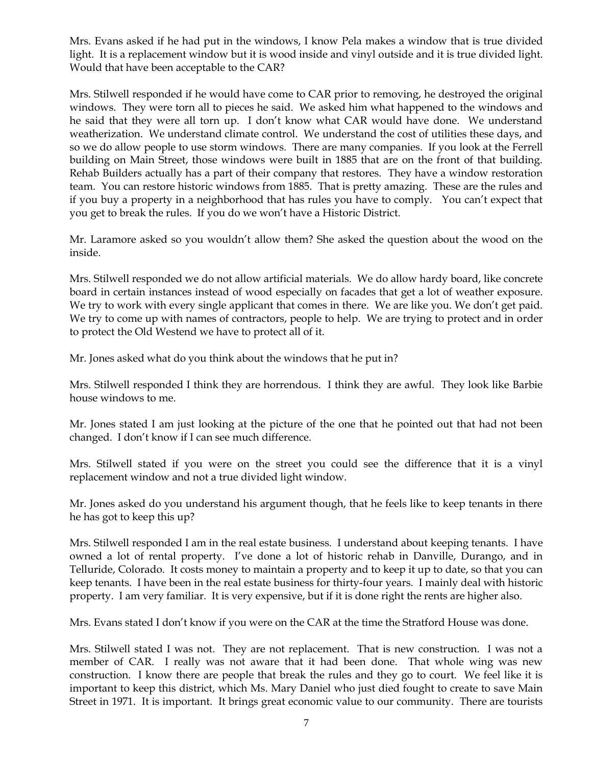Mrs. Evans asked if he had put in the windows, I know Pela makes a window that is true divided light. It is a replacement window but it is wood inside and vinyl outside and it is true divided light. Would that have been acceptable to the CAR?

Mrs. Stilwell responded if he would have come to CAR prior to removing, he destroyed the original windows. They were torn all to pieces he said. We asked him what happened to the windows and he said that they were all torn up. I don't know what CAR would have done. We understand weatherization. We understand climate control. We understand the cost of utilities these days, and so we do allow people to use storm windows. There are many companies. If you look at the Ferrell building on Main Street, those windows were built in 1885 that are on the front of that building. Rehab Builders actually has a part of their company that restores. They have a window restoration team. You can restore historic windows from 1885. That is pretty amazing. These are the rules and if you buy a property in a neighborhood that has rules you have to comply. You can't expect that you get to break the rules. If you do we won't have a Historic District.

Mr. Laramore asked so you wouldn't allow them? She asked the question about the wood on the inside.

Mrs. Stilwell responded we do not allow artificial materials. We do allow hardy board, like concrete board in certain instances instead of wood especially on facades that get a lot of weather exposure. We try to work with every single applicant that comes in there. We are like you. We don't get paid. We try to come up with names of contractors, people to help. We are trying to protect and in order to protect the Old Westend we have to protect all of it.

Mr. Jones asked what do you think about the windows that he put in?

Mrs. Stilwell responded I think they are horrendous. I think they are awful. They look like Barbie house windows to me.

Mr. Jones stated I am just looking at the picture of the one that he pointed out that had not been changed. I don't know if I can see much difference.

Mrs. Stilwell stated if you were on the street you could see the difference that it is a vinyl replacement window and not a true divided light window.

Mr. Jones asked do you understand his argument though, that he feels like to keep tenants in there he has got to keep this up?

Mrs. Stilwell responded I am in the real estate business. I understand about keeping tenants. I have owned a lot of rental property. I've done a lot of historic rehab in Danville, Durango, and in Telluride, Colorado. It costs money to maintain a property and to keep it up to date, so that you can keep tenants. I have been in the real estate business for thirty-four years. I mainly deal with historic property. I am very familiar. It is very expensive, but if it is done right the rents are higher also.

Mrs. Evans stated I don't know if you were on the CAR at the time the Stratford House was done.

Mrs. Stilwell stated I was not. They are not replacement. That is new construction. I was not a member of CAR. I really was not aware that it had been done. That whole wing was new construction. I know there are people that break the rules and they go to court. We feel like it is important to keep this district, which Ms. Mary Daniel who just died fought to create to save Main Street in 1971. It is important. It brings great economic value to our community. There are tourists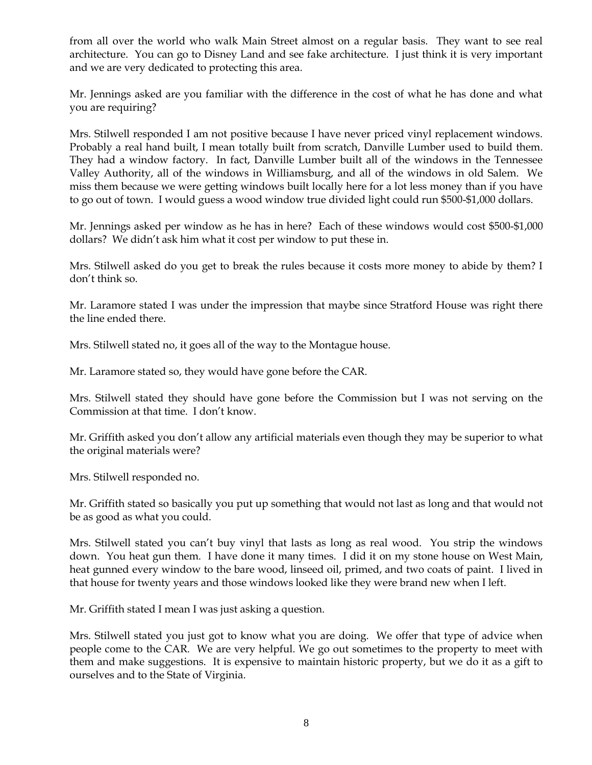from all over the world who walk Main Street almost on a regular basis. They want to see real architecture. You can go to Disney Land and see fake architecture. I just think it is very important and we are very dedicated to protecting this area.

Mr. Jennings asked are you familiar with the difference in the cost of what he has done and what you are requiring?

Mrs. Stilwell responded I am not positive because I have never priced vinyl replacement windows. Probably a real hand built, I mean totally built from scratch, Danville Lumber used to build them. They had a window factory. In fact, Danville Lumber built all of the windows in the Tennessee Valley Authority, all of the windows in Williamsburg, and all of the windows in old Salem. We miss them because we were getting windows built locally here for a lot less money than if you have to go out of town. I would guess a wood window true divided light could run \$500-\$1,000 dollars.

Mr. Jennings asked per window as he has in here? Each of these windows would cost \$500-\$1,000 dollars? We didn't ask him what it cost per window to put these in.

Mrs. Stilwell asked do you get to break the rules because it costs more money to abide by them? I don't think so.

Mr. Laramore stated I was under the impression that maybe since Stratford House was right there the line ended there.

Mrs. Stilwell stated no, it goes all of the way to the Montague house.

Mr. Laramore stated so, they would have gone before the CAR.

Mrs. Stilwell stated they should have gone before the Commission but I was not serving on the Commission at that time. I don't know.

Mr. Griffith asked you don't allow any artificial materials even though they may be superior to what the original materials were?

Mrs. Stilwell responded no.

Mr. Griffith stated so basically you put up something that would not last as long and that would not be as good as what you could.

Mrs. Stilwell stated you can't buy vinyl that lasts as long as real wood. You strip the windows down. You heat gun them. I have done it many times. I did it on my stone house on West Main, heat gunned every window to the bare wood, linseed oil, primed, and two coats of paint. I lived in that house for twenty years and those windows looked like they were brand new when I left.

Mr. Griffith stated I mean I was just asking a question.

Mrs. Stilwell stated you just got to know what you are doing. We offer that type of advice when people come to the CAR. We are very helpful. We go out sometimes to the property to meet with them and make suggestions. It is expensive to maintain historic property, but we do it as a gift to ourselves and to the State of Virginia.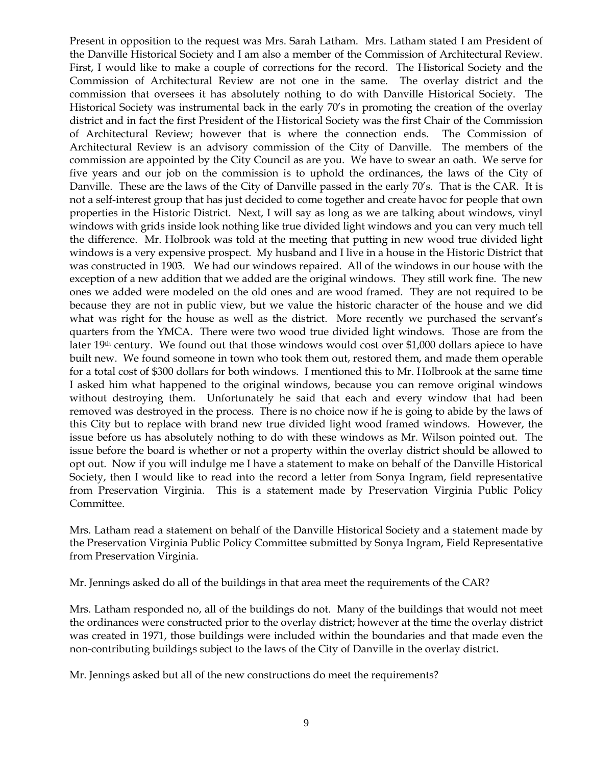Present in opposition to the request was Mrs. Sarah Latham. Mrs. Latham stated I am President of the Danville Historical Society and I am also a member of the Commission of Architectural Review. First, I would like to make a couple of corrections for the record. The Historical Society and the Commission of Architectural Review are not one in the same. The overlay district and the commission that oversees it has absolutely nothing to do with Danville Historical Society. The Historical Society was instrumental back in the early 70's in promoting the creation of the overlay district and in fact the first President of the Historical Society was the first Chair of the Commission of Architectural Review; however that is where the connection ends. The Commission of Architectural Review is an advisory commission of the City of Danville. The members of the commission are appointed by the City Council as are you. We have to swear an oath. We serve for five years and our job on the commission is to uphold the ordinances, the laws of the City of Danville. These are the laws of the City of Danville passed in the early 70's. That is the CAR. It is not a self-interest group that has just decided to come together and create havoc for people that own properties in the Historic District. Next, I will say as long as we are talking about windows, vinyl windows with grids inside look nothing like true divided light windows and you can very much tell the difference. Mr. Holbrook was told at the meeting that putting in new wood true divided light windows is a very expensive prospect. My husband and I live in a house in the Historic District that was constructed in 1903. We had our windows repaired. All of the windows in our house with the exception of a new addition that we added are the original windows. They still work fine. The new ones we added were modeled on the old ones and are wood framed. They are not required to be because they are not in public view, but we value the historic character of the house and we did what was right for the house as well as the district. More recently we purchased the servant's quarters from the YMCA. There were two wood true divided light windows. Those are from the later 19th century. We found out that those windows would cost over \$1,000 dollars apiece to have built new. We found someone in town who took them out, restored them, and made them operable for a total cost of \$300 dollars for both windows. I mentioned this to Mr. Holbrook at the same time I asked him what happened to the original windows, because you can remove original windows without destroying them. Unfortunately he said that each and every window that had been removed was destroyed in the process. There is no choice now if he is going to abide by the laws of this City but to replace with brand new true divided light wood framed windows. However, the issue before us has absolutely nothing to do with these windows as Mr. Wilson pointed out. The issue before the board is whether or not a property within the overlay district should be allowed to opt out. Now if you will indulge me I have a statement to make on behalf of the Danville Historical Society, then I would like to read into the record a letter from Sonya Ingram, field representative from Preservation Virginia. This is a statement made by Preservation Virginia Public Policy Committee.

Mrs. Latham read a statement on behalf of the Danville Historical Society and a statement made by the Preservation Virginia Public Policy Committee submitted by Sonya Ingram, Field Representative from Preservation Virginia.

Mr. Jennings asked do all of the buildings in that area meet the requirements of the CAR?

Mrs. Latham responded no, all of the buildings do not. Many of the buildings that would not meet the ordinances were constructed prior to the overlay district; however at the time the overlay district was created in 1971, those buildings were included within the boundaries and that made even the non-contributing buildings subject to the laws of the City of Danville in the overlay district.

Mr. Jennings asked but all of the new constructions do meet the requirements?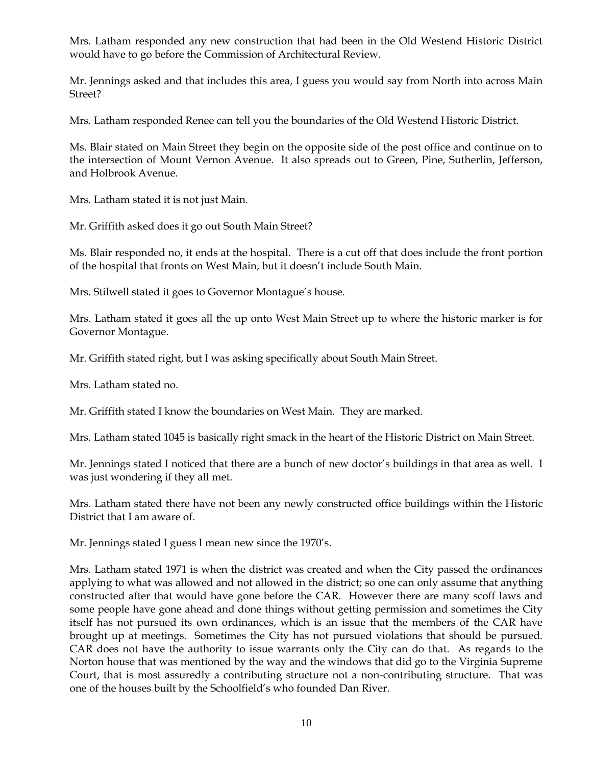Mrs. Latham responded any new construction that had been in the Old Westend Historic District would have to go before the Commission of Architectural Review.

Mr. Jennings asked and that includes this area, I guess you would say from North into across Main Street?

Mrs. Latham responded Renee can tell you the boundaries of the Old Westend Historic District.

Ms. Blair stated on Main Street they begin on the opposite side of the post office and continue on to the intersection of Mount Vernon Avenue. It also spreads out to Green, Pine, Sutherlin, Jefferson, and Holbrook Avenue.

Mrs. Latham stated it is not just Main.

Mr. Griffith asked does it go out South Main Street?

Ms. Blair responded no, it ends at the hospital. There is a cut off that does include the front portion of the hospital that fronts on West Main, but it doesn't include South Main.

Mrs. Stilwell stated it goes to Governor Montague's house.

Mrs. Latham stated it goes all the up onto West Main Street up to where the historic marker is for Governor Montague.

Mr. Griffith stated right, but I was asking specifically about South Main Street.

Mrs. Latham stated no.

Mr. Griffith stated I know the boundaries on West Main. They are marked.

Mrs. Latham stated 1045 is basically right smack in the heart of the Historic District on Main Street.

Mr. Jennings stated I noticed that there are a bunch of new doctor's buildings in that area as well. I was just wondering if they all met.

Mrs. Latham stated there have not been any newly constructed office buildings within the Historic District that I am aware of.

Mr. Jennings stated I guess I mean new since the 1970's.

Mrs. Latham stated 1971 is when the district was created and when the City passed the ordinances applying to what was allowed and not allowed in the district; so one can only assume that anything constructed after that would have gone before the CAR. However there are many scoff laws and some people have gone ahead and done things without getting permission and sometimes the City itself has not pursued its own ordinances, which is an issue that the members of the CAR have brought up at meetings. Sometimes the City has not pursued violations that should be pursued. CAR does not have the authority to issue warrants only the City can do that. As regards to the Norton house that was mentioned by the way and the windows that did go to the Virginia Supreme Court, that is most assuredly a contributing structure not a non-contributing structure. That was one of the houses built by the Schoolfield's who founded Dan River.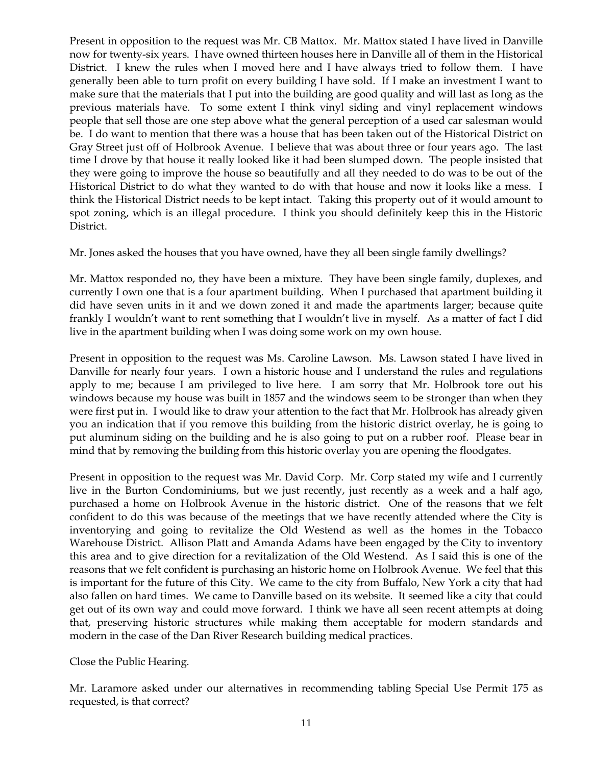Present in opposition to the request was Mr. CB Mattox. Mr. Mattox stated I have lived in Danville now for twenty-six years. I have owned thirteen houses here in Danville all of them in the Historical District. I knew the rules when I moved here and I have always tried to follow them. I have generally been able to turn profit on every building I have sold. If I make an investment I want to make sure that the materials that I put into the building are good quality and will last as long as the previous materials have. To some extent I think vinyl siding and vinyl replacement windows people that sell those are one step above what the general perception of a used car salesman would be. I do want to mention that there was a house that has been taken out of the Historical District on Gray Street just off of Holbrook Avenue. I believe that was about three or four years ago. The last time I drove by that house it really looked like it had been slumped down. The people insisted that they were going to improve the house so beautifully and all they needed to do was to be out of the Historical District to do what they wanted to do with that house and now it looks like a mess. I think the Historical District needs to be kept intact. Taking this property out of it would amount to spot zoning, which is an illegal procedure. I think you should definitely keep this in the Historic District.

Mr. Jones asked the houses that you have owned, have they all been single family dwellings?

Mr. Mattox responded no, they have been a mixture. They have been single family, duplexes, and currently I own one that is a four apartment building. When I purchased that apartment building it did have seven units in it and we down zoned it and made the apartments larger; because quite frankly I wouldn't want to rent something that I wouldn't live in myself. As a matter of fact I did live in the apartment building when I was doing some work on my own house.

Present in opposition to the request was Ms. Caroline Lawson. Ms. Lawson stated I have lived in Danville for nearly four years. I own a historic house and I understand the rules and regulations apply to me; because I am privileged to live here. I am sorry that Mr. Holbrook tore out his windows because my house was built in 1857 and the windows seem to be stronger than when they were first put in. I would like to draw your attention to the fact that Mr. Holbrook has already given you an indication that if you remove this building from the historic district overlay, he is going to put aluminum siding on the building and he is also going to put on a rubber roof. Please bear in mind that by removing the building from this historic overlay you are opening the floodgates.

Present in opposition to the request was Mr. David Corp. Mr. Corp stated my wife and I currently live in the Burton Condominiums, but we just recently, just recently as a week and a half ago, purchased a home on Holbrook Avenue in the historic district. One of the reasons that we felt confident to do this was because of the meetings that we have recently attended where the City is inventorying and going to revitalize the Old Westend as well as the homes in the Tobacco Warehouse District. Allison Platt and Amanda Adams have been engaged by the City to inventory this area and to give direction for a revitalization of the Old Westend. As I said this is one of the reasons that we felt confident is purchasing an historic home on Holbrook Avenue. We feel that this is important for the future of this City. We came to the city from Buffalo, New York a city that had also fallen on hard times. We came to Danville based on its website. It seemed like a city that could get out of its own way and could move forward. I think we have all seen recent attempts at doing that, preserving historic structures while making them acceptable for modern standards and modern in the case of the Dan River Research building medical practices.

Close the Public Hearing.

Mr. Laramore asked under our alternatives in recommending tabling Special Use Permit 175 as requested, is that correct?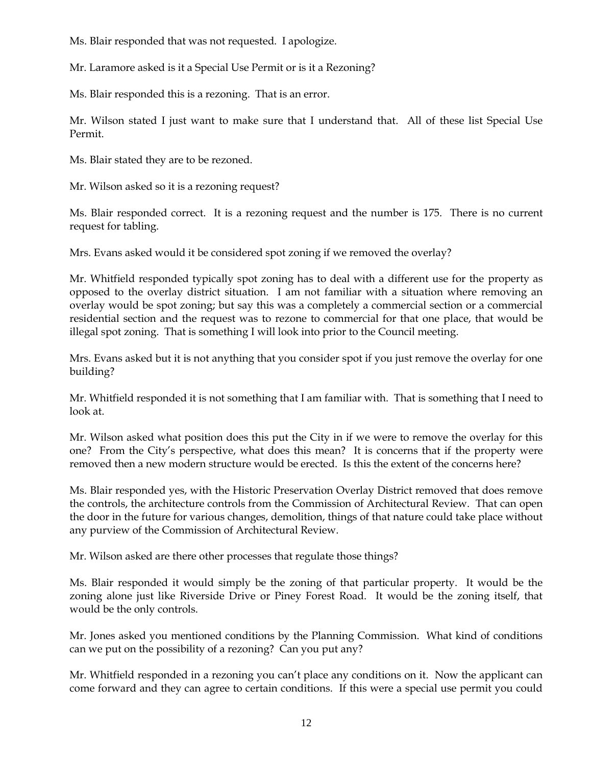Ms. Blair responded that was not requested. I apologize.

Mr. Laramore asked is it a Special Use Permit or is it a Rezoning?

Ms. Blair responded this is a rezoning. That is an error.

Mr. Wilson stated I just want to make sure that I understand that. All of these list Special Use Permit.

Ms. Blair stated they are to be rezoned.

Mr. Wilson asked so it is a rezoning request?

Ms. Blair responded correct. It is a rezoning request and the number is 175. There is no current request for tabling.

Mrs. Evans asked would it be considered spot zoning if we removed the overlay?

Mr. Whitfield responded typically spot zoning has to deal with a different use for the property as opposed to the overlay district situation. I am not familiar with a situation where removing an overlay would be spot zoning; but say this was a completely a commercial section or a commercial residential section and the request was to rezone to commercial for that one place, that would be illegal spot zoning. That is something I will look into prior to the Council meeting.

Mrs. Evans asked but it is not anything that you consider spot if you just remove the overlay for one building?

Mr. Whitfield responded it is not something that I am familiar with. That is something that I need to look at.

Mr. Wilson asked what position does this put the City in if we were to remove the overlay for this one? From the City's perspective, what does this mean? It is concerns that if the property were removed then a new modern structure would be erected. Is this the extent of the concerns here?

Ms. Blair responded yes, with the Historic Preservation Overlay District removed that does remove the controls, the architecture controls from the Commission of Architectural Review. That can open the door in the future for various changes, demolition, things of that nature could take place without any purview of the Commission of Architectural Review.

Mr. Wilson asked are there other processes that regulate those things?

Ms. Blair responded it would simply be the zoning of that particular property. It would be the zoning alone just like Riverside Drive or Piney Forest Road. It would be the zoning itself, that would be the only controls.

Mr. Jones asked you mentioned conditions by the Planning Commission. What kind of conditions can we put on the possibility of a rezoning? Can you put any?

Mr. Whitfield responded in a rezoning you can't place any conditions on it. Now the applicant can come forward and they can agree to certain conditions. If this were a special use permit you could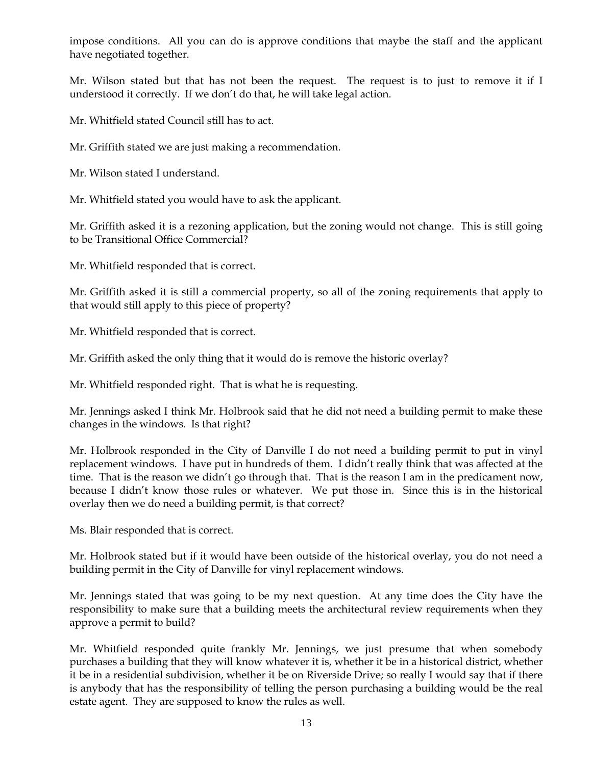impose conditions. All you can do is approve conditions that maybe the staff and the applicant have negotiated together.

Mr. Wilson stated but that has not been the request. The request is to just to remove it if I understood it correctly. If we don't do that, he will take legal action.

Mr. Whitfield stated Council still has to act.

Mr. Griffith stated we are just making a recommendation.

Mr. Wilson stated I understand.

Mr. Whitfield stated you would have to ask the applicant.

Mr. Griffith asked it is a rezoning application, but the zoning would not change. This is still going to be Transitional Office Commercial?

Mr. Whitfield responded that is correct.

Mr. Griffith asked it is still a commercial property, so all of the zoning requirements that apply to that would still apply to this piece of property?

Mr. Whitfield responded that is correct.

Mr. Griffith asked the only thing that it would do is remove the historic overlay?

Mr. Whitfield responded right. That is what he is requesting.

Mr. Jennings asked I think Mr. Holbrook said that he did not need a building permit to make these changes in the windows. Is that right?

Mr. Holbrook responded in the City of Danville I do not need a building permit to put in vinyl replacement windows. I have put in hundreds of them. I didn't really think that was affected at the time. That is the reason we didn't go through that. That is the reason I am in the predicament now, because I didn't know those rules or whatever. We put those in. Since this is in the historical overlay then we do need a building permit, is that correct?

Ms. Blair responded that is correct.

Mr. Holbrook stated but if it would have been outside of the historical overlay, you do not need a building permit in the City of Danville for vinyl replacement windows.

Mr. Jennings stated that was going to be my next question. At any time does the City have the responsibility to make sure that a building meets the architectural review requirements when they approve a permit to build?

Mr. Whitfield responded quite frankly Mr. Jennings, we just presume that when somebody purchases a building that they will know whatever it is, whether it be in a historical district, whether it be in a residential subdivision, whether it be on Riverside Drive; so really I would say that if there is anybody that has the responsibility of telling the person purchasing a building would be the real estate agent. They are supposed to know the rules as well.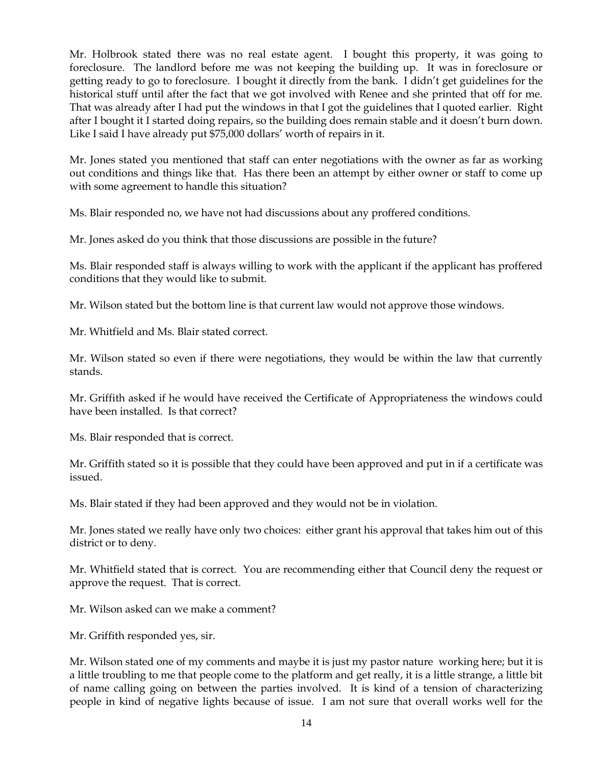Mr. Holbrook stated there was no real estate agent. I bought this property, it was going to foreclosure. The landlord before me was not keeping the building up. It was in foreclosure or getting ready to go to foreclosure. I bought it directly from the bank. I didn't get guidelines for the historical stuff until after the fact that we got involved with Renee and she printed that off for me. That was already after I had put the windows in that I got the guidelines that I quoted earlier. Right after I bought it I started doing repairs, so the building does remain stable and it doesn't burn down. Like I said I have already put \$75,000 dollars' worth of repairs in it.

Mr. Jones stated you mentioned that staff can enter negotiations with the owner as far as working out conditions and things like that. Has there been an attempt by either owner or staff to come up with some agreement to handle this situation?

Ms. Blair responded no, we have not had discussions about any proffered conditions.

Mr. Jones asked do you think that those discussions are possible in the future?

Ms. Blair responded staff is always willing to work with the applicant if the applicant has proffered conditions that they would like to submit.

Mr. Wilson stated but the bottom line is that current law would not approve those windows.

Mr. Whitfield and Ms. Blair stated correct.

Mr. Wilson stated so even if there were negotiations, they would be within the law that currently stands.

Mr. Griffith asked if he would have received the Certificate of Appropriateness the windows could have been installed. Is that correct?

Ms. Blair responded that is correct.

Mr. Griffith stated so it is possible that they could have been approved and put in if a certificate was issued.

Ms. Blair stated if they had been approved and they would not be in violation.

Mr. Jones stated we really have only two choices: either grant his approval that takes him out of this district or to deny.

Mr. Whitfield stated that is correct. You are recommending either that Council deny the request or approve the request. That is correct.

Mr. Wilson asked can we make a comment?

Mr. Griffith responded yes, sir.

Mr. Wilson stated one of my comments and maybe it is just my pastor nature working here; but it is a little troubling to me that people come to the platform and get really, it is a little strange, a little bit of name calling going on between the parties involved. It is kind of a tension of characterizing people in kind of negative lights because of issue. I am not sure that overall works well for the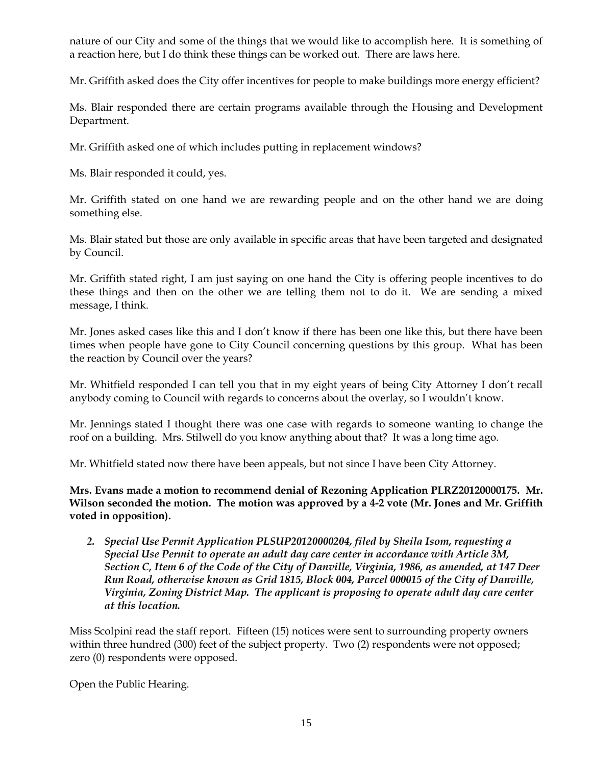nature of our City and some of the things that we would like to accomplish here. It is something of a reaction here, but I do think these things can be worked out. There are laws here.

Mr. Griffith asked does the City offer incentives for people to make buildings more energy efficient?

Ms. Blair responded there are certain programs available through the Housing and Development Department.

Mr. Griffith asked one of which includes putting in replacement windows?

Ms. Blair responded it could, yes.

Mr. Griffith stated on one hand we are rewarding people and on the other hand we are doing something else.

Ms. Blair stated but those are only available in specific areas that have been targeted and designated by Council.

Mr. Griffith stated right, I am just saying on one hand the City is offering people incentives to do these things and then on the other we are telling them not to do it. We are sending a mixed message, I think.

Mr. Jones asked cases like this and I don't know if there has been one like this, but there have been times when people have gone to City Council concerning questions by this group. What has been the reaction by Council over the years?

Mr. Whitfield responded I can tell you that in my eight years of being City Attorney I don't recall anybody coming to Council with regards to concerns about the overlay, so I wouldn't know.

Mr. Jennings stated I thought there was one case with regards to someone wanting to change the roof on a building. Mrs. Stilwell do you know anything about that? It was a long time ago.

Mr. Whitfield stated now there have been appeals, but not since I have been City Attorney.

**Mrs. Evans made a motion to recommend denial of Rezoning Application PLRZ20120000175. Mr. Wilson seconded the motion. The motion was approved by a 4-2 vote (Mr. Jones and Mr. Griffith voted in opposition).** 

*2. Special Use Permit Application PLSUP20120000204, filed by Sheila Isom, requesting a Special Use Permit to operate an adult day care center in accordance with Article 3M, Section C, Item 6 of the Code of the City of Danville, Virginia, 1986, as amended, at 147 Deer Run Road, otherwise known as Grid 1815, Block 004, Parcel 000015 of the City of Danville, Virginia, Zoning District Map. The applicant is proposing to operate adult day care center at this location.* 

Miss Scolpini read the staff report. Fifteen (15) notices were sent to surrounding property owners within three hundred (300) feet of the subject property. Two (2) respondents were not opposed; zero (0) respondents were opposed.

Open the Public Hearing.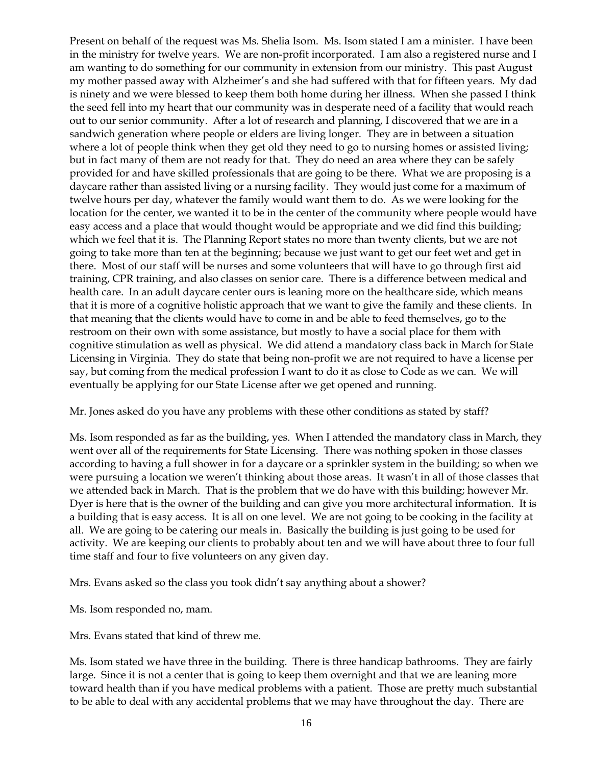Present on behalf of the request was Ms. Shelia Isom. Ms. Isom stated I am a minister. I have been in the ministry for twelve years. We are non-profit incorporated. I am also a registered nurse and I am wanting to do something for our community in extension from our ministry. This past August my mother passed away with Alzheimer's and she had suffered with that for fifteen years. My dad is ninety and we were blessed to keep them both home during her illness. When she passed I think the seed fell into my heart that our community was in desperate need of a facility that would reach out to our senior community. After a lot of research and planning, I discovered that we are in a sandwich generation where people or elders are living longer. They are in between a situation where a lot of people think when they get old they need to go to nursing homes or assisted living; but in fact many of them are not ready for that. They do need an area where they can be safely provided for and have skilled professionals that are going to be there. What we are proposing is a daycare rather than assisted living or a nursing facility. They would just come for a maximum of twelve hours per day, whatever the family would want them to do. As we were looking for the location for the center, we wanted it to be in the center of the community where people would have easy access and a place that would thought would be appropriate and we did find this building; which we feel that it is. The Planning Report states no more than twenty clients, but we are not going to take more than ten at the beginning; because we just want to get our feet wet and get in there. Most of our staff will be nurses and some volunteers that will have to go through first aid training, CPR training, and also classes on senior care. There is a difference between medical and health care. In an adult daycare center ours is leaning more on the healthcare side, which means that it is more of a cognitive holistic approach that we want to give the family and these clients. In that meaning that the clients would have to come in and be able to feed themselves, go to the restroom on their own with some assistance, but mostly to have a social place for them with cognitive stimulation as well as physical. We did attend a mandatory class back in March for State Licensing in Virginia. They do state that being non-profit we are not required to have a license per say, but coming from the medical profession I want to do it as close to Code as we can. We will eventually be applying for our State License after we get opened and running.

Mr. Jones asked do you have any problems with these other conditions as stated by staff?

Ms. Isom responded as far as the building, yes. When I attended the mandatory class in March, they went over all of the requirements for State Licensing. There was nothing spoken in those classes according to having a full shower in for a daycare or a sprinkler system in the building; so when we were pursuing a location we weren't thinking about those areas. It wasn't in all of those classes that we attended back in March. That is the problem that we do have with this building; however Mr. Dyer is here that is the owner of the building and can give you more architectural information. It is a building that is easy access. It is all on one level. We are not going to be cooking in the facility at all. We are going to be catering our meals in. Basically the building is just going to be used for activity. We are keeping our clients to probably about ten and we will have about three to four full time staff and four to five volunteers on any given day.

Mrs. Evans asked so the class you took didn't say anything about a shower?

Ms. Isom responded no, mam.

Mrs. Evans stated that kind of threw me.

Ms. Isom stated we have three in the building. There is three handicap bathrooms. They are fairly large. Since it is not a center that is going to keep them overnight and that we are leaning more toward health than if you have medical problems with a patient. Those are pretty much substantial to be able to deal with any accidental problems that we may have throughout the day. There are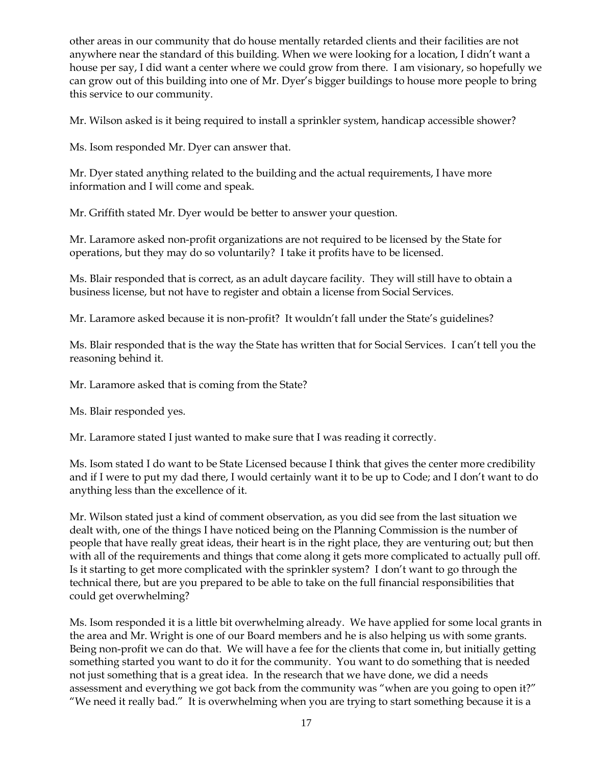other areas in our community that do house mentally retarded clients and their facilities are not anywhere near the standard of this building. When we were looking for a location, I didn't want a house per say, I did want a center where we could grow from there. I am visionary, so hopefully we can grow out of this building into one of Mr. Dyer's bigger buildings to house more people to bring this service to our community.

Mr. Wilson asked is it being required to install a sprinkler system, handicap accessible shower?

Ms. Isom responded Mr. Dyer can answer that.

Mr. Dyer stated anything related to the building and the actual requirements, I have more information and I will come and speak.

Mr. Griffith stated Mr. Dyer would be better to answer your question.

Mr. Laramore asked non-profit organizations are not required to be licensed by the State for operations, but they may do so voluntarily? I take it profits have to be licensed.

Ms. Blair responded that is correct, as an adult daycare facility. They will still have to obtain a business license, but not have to register and obtain a license from Social Services.

Mr. Laramore asked because it is non-profit? It wouldn't fall under the State's guidelines?

Ms. Blair responded that is the way the State has written that for Social Services. I can't tell you the reasoning behind it.

Mr. Laramore asked that is coming from the State?

Ms. Blair responded yes.

Mr. Laramore stated I just wanted to make sure that I was reading it correctly.

Ms. Isom stated I do want to be State Licensed because I think that gives the center more credibility and if I were to put my dad there, I would certainly want it to be up to Code; and I don't want to do anything less than the excellence of it.

Mr. Wilson stated just a kind of comment observation, as you did see from the last situation we dealt with, one of the things I have noticed being on the Planning Commission is the number of people that have really great ideas, their heart is in the right place, they are venturing out; but then with all of the requirements and things that come along it gets more complicated to actually pull off. Is it starting to get more complicated with the sprinkler system? I don't want to go through the technical there, but are you prepared to be able to take on the full financial responsibilities that could get overwhelming?

Ms. Isom responded it is a little bit overwhelming already. We have applied for some local grants in the area and Mr. Wright is one of our Board members and he is also helping us with some grants. Being non-profit we can do that. We will have a fee for the clients that come in, but initially getting something started you want to do it for the community. You want to do something that is needed not just something that is a great idea. In the research that we have done, we did a needs assessment and everything we got back from the community was "when are you going to open it?" "We need it really bad." It is overwhelming when you are trying to start something because it is a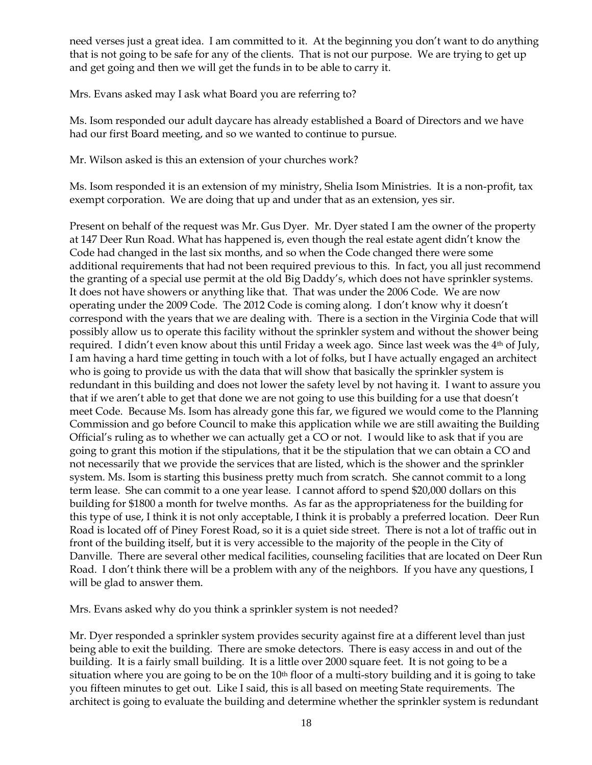need verses just a great idea. I am committed to it. At the beginning you don't want to do anything that is not going to be safe for any of the clients. That is not our purpose. We are trying to get up and get going and then we will get the funds in to be able to carry it.

Mrs. Evans asked may I ask what Board you are referring to?

Ms. Isom responded our adult daycare has already established a Board of Directors and we have had our first Board meeting, and so we wanted to continue to pursue.

Mr. Wilson asked is this an extension of your churches work?

Ms. Isom responded it is an extension of my ministry, Shelia Isom Ministries. It is a non-profit, tax exempt corporation. We are doing that up and under that as an extension, yes sir.

Present on behalf of the request was Mr. Gus Dyer. Mr. Dyer stated I am the owner of the property at 147 Deer Run Road. What has happened is, even though the real estate agent didn't know the Code had changed in the last six months, and so when the Code changed there were some additional requirements that had not been required previous to this. In fact, you all just recommend the granting of a special use permit at the old Big Daddy's, which does not have sprinkler systems. It does not have showers or anything like that. That was under the 2006 Code. We are now operating under the 2009 Code. The 2012 Code is coming along. I don't know why it doesn't correspond with the years that we are dealing with. There is a section in the Virginia Code that will possibly allow us to operate this facility without the sprinkler system and without the shower being required. I didn't even know about this until Friday a week ago. Since last week was the  $4<sup>th</sup>$  of July, I am having a hard time getting in touch with a lot of folks, but I have actually engaged an architect who is going to provide us with the data that will show that basically the sprinkler system is redundant in this building and does not lower the safety level by not having it. I want to assure you that if we aren't able to get that done we are not going to use this building for a use that doesn't meet Code. Because Ms. Isom has already gone this far, we figured we would come to the Planning Commission and go before Council to make this application while we are still awaiting the Building Official's ruling as to whether we can actually get a CO or not. I would like to ask that if you are going to grant this motion if the stipulations, that it be the stipulation that we can obtain a CO and not necessarily that we provide the services that are listed, which is the shower and the sprinkler system. Ms. Isom is starting this business pretty much from scratch. She cannot commit to a long term lease. She can commit to a one year lease. I cannot afford to spend \$20,000 dollars on this building for \$1800 a month for twelve months. As far as the appropriateness for the building for this type of use, I think it is not only acceptable, I think it is probably a preferred location. Deer Run Road is located off of Piney Forest Road, so it is a quiet side street. There is not a lot of traffic out in front of the building itself, but it is very accessible to the majority of the people in the City of Danville. There are several other medical facilities, counseling facilities that are located on Deer Run Road. I don't think there will be a problem with any of the neighbors. If you have any questions, I will be glad to answer them.

Mrs. Evans asked why do you think a sprinkler system is not needed?

Mr. Dyer responded a sprinkler system provides security against fire at a different level than just being able to exit the building. There are smoke detectors. There is easy access in and out of the building. It is a fairly small building. It is a little over 2000 square feet. It is not going to be a situation where you are going to be on the  $10<sup>th</sup>$  floor of a multi-story building and it is going to take you fifteen minutes to get out. Like I said, this is all based on meeting State requirements. The architect is going to evaluate the building and determine whether the sprinkler system is redundant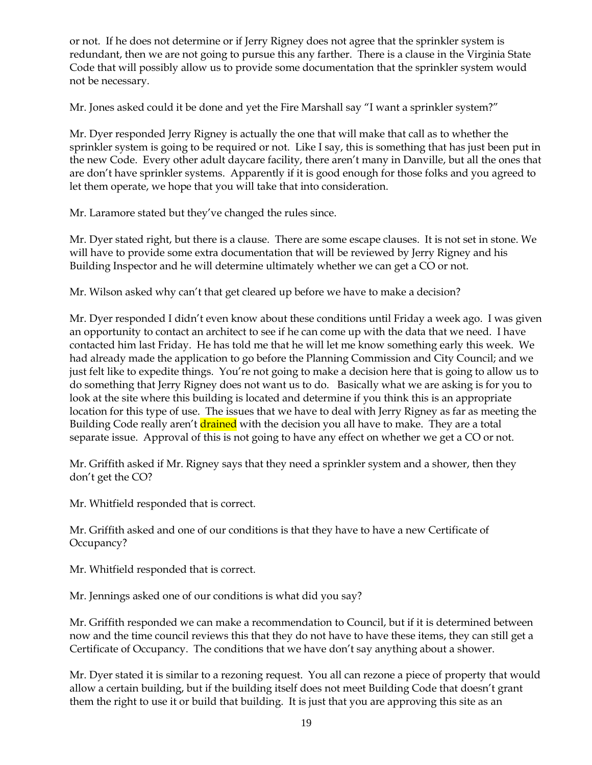or not. If he does not determine or if Jerry Rigney does not agree that the sprinkler system is redundant, then we are not going to pursue this any farther. There is a clause in the Virginia State Code that will possibly allow us to provide some documentation that the sprinkler system would not be necessary.

Mr. Jones asked could it be done and yet the Fire Marshall say "I want a sprinkler system?"

Mr. Dyer responded Jerry Rigney is actually the one that will make that call as to whether the sprinkler system is going to be required or not. Like I say, this is something that has just been put in the new Code. Every other adult daycare facility, there aren't many in Danville, but all the ones that are don't have sprinkler systems. Apparently if it is good enough for those folks and you agreed to let them operate, we hope that you will take that into consideration.

Mr. Laramore stated but they've changed the rules since.

Mr. Dyer stated right, but there is a clause. There are some escape clauses. It is not set in stone. We will have to provide some extra documentation that will be reviewed by Jerry Rigney and his Building Inspector and he will determine ultimately whether we can get a CO or not.

Mr. Wilson asked why can't that get cleared up before we have to make a decision?

Mr. Dyer responded I didn't even know about these conditions until Friday a week ago. I was given an opportunity to contact an architect to see if he can come up with the data that we need. I have contacted him last Friday. He has told me that he will let me know something early this week. We had already made the application to go before the Planning Commission and City Council; and we just felt like to expedite things. You're not going to make a decision here that is going to allow us to do something that Jerry Rigney does not want us to do. Basically what we are asking is for you to look at the site where this building is located and determine if you think this is an appropriate location for this type of use. The issues that we have to deal with Jerry Rigney as far as meeting the Building Code really aren't drained with the decision you all have to make. They are a total separate issue. Approval of this is not going to have any effect on whether we get a CO or not.

Mr. Griffith asked if Mr. Rigney says that they need a sprinkler system and a shower, then they don't get the CO?

Mr. Whitfield responded that is correct.

Mr. Griffith asked and one of our conditions is that they have to have a new Certificate of Occupancy?

Mr. Whitfield responded that is correct.

Mr. Jennings asked one of our conditions is what did you say?

Mr. Griffith responded we can make a recommendation to Council, but if it is determined between now and the time council reviews this that they do not have to have these items, they can still get a Certificate of Occupancy. The conditions that we have don't say anything about a shower.

Mr. Dyer stated it is similar to a rezoning request. You all can rezone a piece of property that would allow a certain building, but if the building itself does not meet Building Code that doesn't grant them the right to use it or build that building. It is just that you are approving this site as an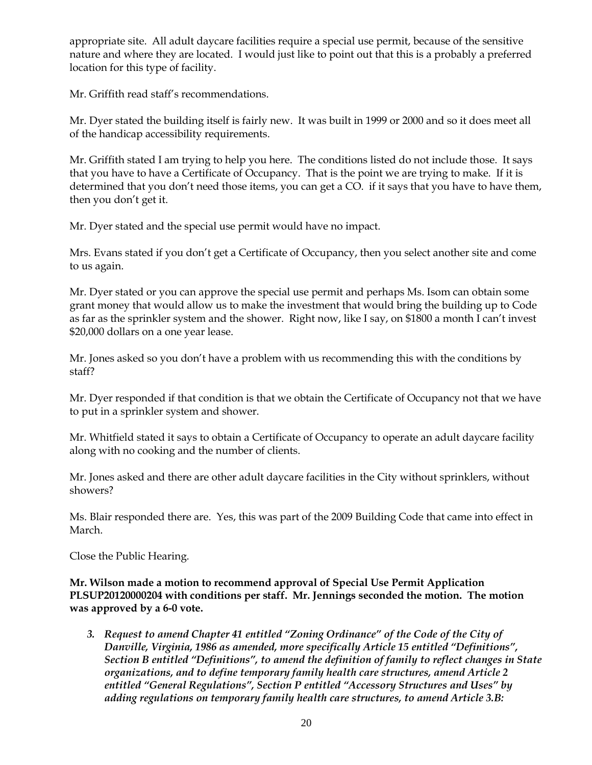appropriate site. All adult daycare facilities require a special use permit, because of the sensitive nature and where they are located. I would just like to point out that this is a probably a preferred location for this type of facility.

Mr. Griffith read staff's recommendations.

Mr. Dyer stated the building itself is fairly new. It was built in 1999 or 2000 and so it does meet all of the handicap accessibility requirements.

Mr. Griffith stated I am trying to help you here. The conditions listed do not include those. It says that you have to have a Certificate of Occupancy. That is the point we are trying to make. If it is determined that you don't need those items, you can get a CO. if it says that you have to have them, then you don't get it.

Mr. Dyer stated and the special use permit would have no impact.

Mrs. Evans stated if you don't get a Certificate of Occupancy, then you select another site and come to us again.

Mr. Dyer stated or you can approve the special use permit and perhaps Ms. Isom can obtain some grant money that would allow us to make the investment that would bring the building up to Code as far as the sprinkler system and the shower. Right now, like I say, on \$1800 a month I can't invest \$20,000 dollars on a one year lease.

Mr. Jones asked so you don't have a problem with us recommending this with the conditions by staff?

Mr. Dyer responded if that condition is that we obtain the Certificate of Occupancy not that we have to put in a sprinkler system and shower.

Mr. Whitfield stated it says to obtain a Certificate of Occupancy to operate an adult daycare facility along with no cooking and the number of clients.

Mr. Jones asked and there are other adult daycare facilities in the City without sprinklers, without showers?

Ms. Blair responded there are. Yes, this was part of the 2009 Building Code that came into effect in March.

Close the Public Hearing.

**Mr. Wilson made a motion to recommend approval of Special Use Permit Application PLSUP20120000204 with conditions per staff. Mr. Jennings seconded the motion. The motion was approved by a 6-0 vote.**

*3. Request to amend Chapter 41 entitled "Zoning Ordinance" of the Code of the City of Danville, Virginia, 1986 as amended, more specifically Article 15 entitled "Definitions", Section B entitled "Definitions", to amend the definition of family to reflect changes in State organizations, and to define temporary family health care structures, amend Article 2 entitled "General Regulations", Section P entitled "Accessory Structures and Uses" by adding regulations on temporary family health care structures, to amend Article 3.B:*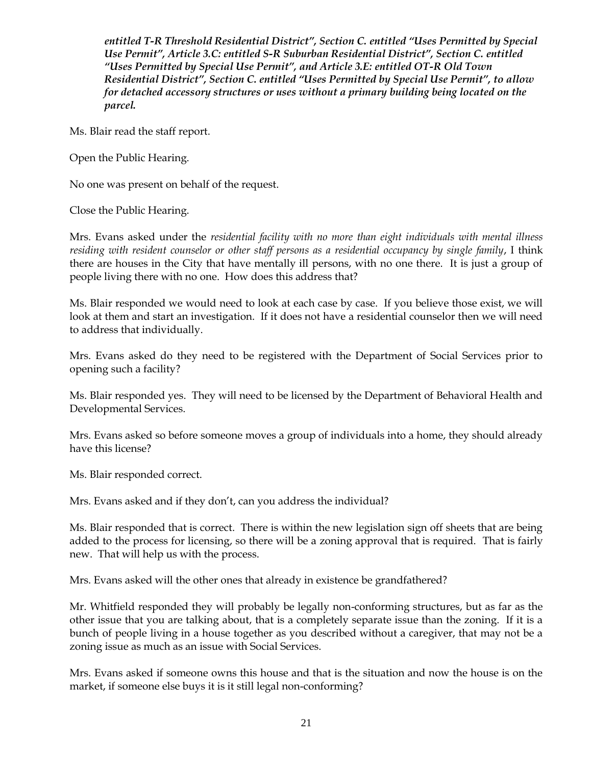*entitled T-R Threshold Residential District", Section C. entitled "Uses Permitted by Special Use Permit", Article 3.C: entitled S-R Suburban Residential District", Section C. entitled "Uses Permitted by Special Use Permit", and Article 3.E: entitled OT-R Old Town Residential District", Section C. entitled "Uses Permitted by Special Use Permit", to allow for detached accessory structures or uses without a primary building being located on the parcel.*

Ms. Blair read the staff report.

Open the Public Hearing.

No one was present on behalf of the request.

Close the Public Hearing.

Mrs. Evans asked under the *residential facility with no more than eight individuals with mental illness residing with resident counselor or other staff persons as a residential occupancy by single family*, I think there are houses in the City that have mentally ill persons, with no one there. It is just a group of people living there with no one. How does this address that?

Ms. Blair responded we would need to look at each case by case. If you believe those exist, we will look at them and start an investigation. If it does not have a residential counselor then we will need to address that individually.

Mrs. Evans asked do they need to be registered with the Department of Social Services prior to opening such a facility?

Ms. Blair responded yes. They will need to be licensed by the Department of Behavioral Health and Developmental Services.

Mrs. Evans asked so before someone moves a group of individuals into a home, they should already have this license?

Ms. Blair responded correct.

Mrs. Evans asked and if they don't, can you address the individual?

Ms. Blair responded that is correct. There is within the new legislation sign off sheets that are being added to the process for licensing, so there will be a zoning approval that is required. That is fairly new. That will help us with the process.

Mrs. Evans asked will the other ones that already in existence be grandfathered?

Mr. Whitfield responded they will probably be legally non-conforming structures, but as far as the other issue that you are talking about, that is a completely separate issue than the zoning. If it is a bunch of people living in a house together as you described without a caregiver, that may not be a zoning issue as much as an issue with Social Services.

Mrs. Evans asked if someone owns this house and that is the situation and now the house is on the market, if someone else buys it is it still legal non-conforming?